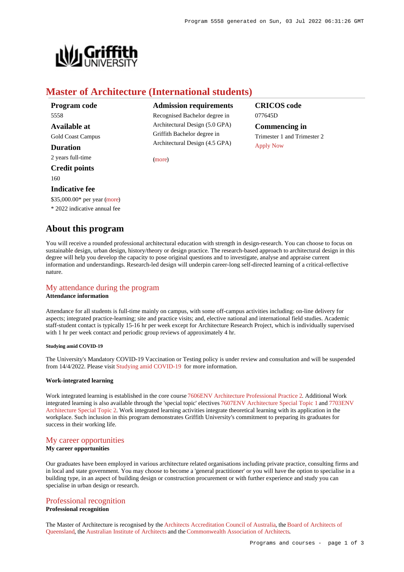

# **Master of Architecture (International students)**

| Program code             |
|--------------------------|
| 5558                     |
| <b>Available at</b>      |
| <b>Gold Coast Campus</b> |
| <b>Duration</b>          |
| 2 years full-time        |
| <b>Credit points</b>     |
|                          |

#### 160

## **Indicative fee**

\$35,000.00\* per year [\(more](https://www148.griffith.edu.au/programs-courses/Program/5558/Overview/International#fees))

\* 2022 indicative annual fee

# **About this program**

### **Admission requirements**

Recognised Bachelor degree in Architectural Design (5.0 GPA) Griffith Bachelor degree in Architectural Design (4.5 GPA)

[\(more](https://www148.griffith.edu.au/programs-courses/Program/5558/HowToApply/International#can-i-apply))

# **CRICOS code** 077645D

**Commencing in** Trimester 1 and Trimester 2 [Apply Now](https://www148.griffith.edu.au/programs-courses/Program/5558/HowToApply/International#process)

You will receive a rounded professional architectural education with strength in design-research. You can choose to focus on sustainable design, urban design, history/theory or design practice. The research-based approach to architectural design in this degree will help you develop the capacity to pose original questions and to investigate, analyse and appraise current information and understandings. Research-led design will underpin career-long self-directed learning of a critical-reflective nature.

# [My attendance during the program](https://www148.griffith.edu.au/programs-courses/Program/5558/Overview/International#attendance)

### **Attendance information**

Attendance for all students is full-time mainly on campus, with some off-campus activities including: on-line delivery for aspects; integrated practice-learning; site and practice visits; and, elective national and international field studies. Academic staff-student contact is typically 15-16 hr per week except for Architecture Research Project, which is individually supervised with 1 hr per week contact and periodic group reviews of approximately 4 hr.

### **Studying amid COVID-19**

The University's Mandatory COVID-19 Vaccination or Testing policy is under review and consultation and will be suspended from 14/4/2022. Please visit [Studying amid COVID-19](https://www.griffith.edu.au/coronavirus/studying-amid-covid-19) for more information.

### **Work-integrated learning**

Work integrated learning is established in the core course [7606ENV Architecture Professional Practice 2](https://www148.griffith.edu.au/Course/7606ENV). Additional Work integrated learning is also available through the 'special topic' electives [7607ENV Architecture Special Topic 1](https://www148.griffith.edu.au/Course/7607ENV) and [7703ENV](https://www148.griffith.edu.au/Course/7703ENV) [Architecture Special Topic 2](https://www148.griffith.edu.au/Course/7703ENV). Work integrated learning activities integrate theoretical learning with its application in the workplace. Such inclusion in this program demonstrates Griffith University's commitment to preparing its graduates for success in their working life.

# [My career opportunities](https://www148.griffith.edu.au/programs-courses/Program/5558/Overview/International#opportunities)

## **My career opportunities**

Our graduates have been employed in various architecture related organisations including private practice, consulting firms and in local and state government. You may choose to become a 'general practitioner' or you will have the option to specialise in a building type, in an aspect of building design or construction procurement or with further experience and study you can specialise in urban design or research.

### [Professional recognition](https://www148.griffith.edu.au/programs-courses/Program/5558/Overview/International#recognition)

## **Professional recognition**

The Master of Architecture is recognised by the [Architects Accreditation Council of Australia](http://www.aaca.org.au/), the [Board of Architects of](http://www.boaq.qld.gov.au/AM/Template.cfm) [Queensland](http://www.boaq.qld.gov.au/AM/Template.cfm), the [Australian Institute of Architects](http://www.architecture.com.au/) and the [Commonwealth Association of Architects](http://www.comarchitect.org/).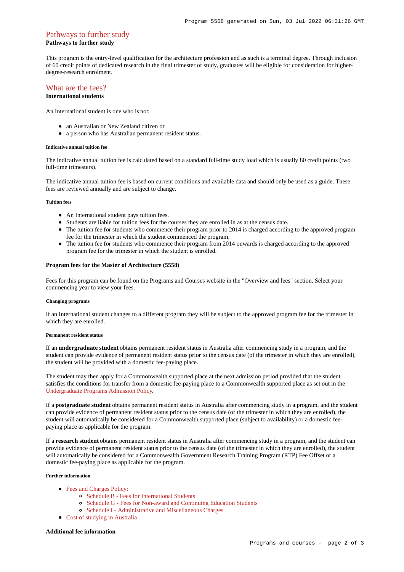### [Pathways to further study](https://www148.griffith.edu.au/programs-courses/Program/5558/Overview/International#pathways) **Pathways to further study**

This program is the entry-level qualification for the architecture profession and as such is a terminal degree. Through inclusion of 60 credit points of dedicated research in the final trimester of study, graduates will be eligible for consideration for higherdegree-research enrolment.

### [What are the fees?](https://www148.griffith.edu.au/programs-courses/Program/5558/Overview/International#fees) **International students**

An International student is one who is not:

- an Australian or New Zealand citizen or
- a person who has Australian permanent resident status.

#### **Indicative annual tuition fee**

The indicative annual tuition fee is calculated based on a standard full-time study load which is usually 80 credit points (two full-time trimesters).

The indicative annual tuition fee is based on current conditions and available data and should only be used as a guide. These fees are reviewed annually and are subject to change.

#### **Tuition fees**

- An International student pays tuition fees.
- Students are liable for tuition fees for the courses they are enrolled in as at the census date.
- The tuition fee for students who commence their program prior to 2014 is charged according to the approved program fee for the trimester in which the student commenced the program.
- The tuition fee for students who commence their program from 2014 onwards is charged according to the approved program fee for the trimester in which the student is enrolled.

### **Program fees for the Master of Architecture (5558)**

Fees for this program can be found on the Programs and Courses website in the "Overview and fees" section. Select your commencing year to view your fees.

#### **Changing programs**

If an International student changes to a different program they will be subject to the approved program fee for the trimester in which they are enrolled.

#### **Permanent resident status**

If an **undergraduate student** obtains permanent resident status in Australia after commencing study in a program, and the student can provide evidence of permanent resident status prior to the census date (of the trimester in which they are enrolled), the student will be provided with a domestic fee-paying place.

The student may then apply for a Commonwealth supported place at the next admission period provided that the student satisfies the conditions for transfer from a domestic fee-paying place to a Commonwealth supported place as set out in the [Undergraduate Programs Admission Policy](http://policies.griffith.edu.au/pdf/Undergraduate Programs Admission Policy.pdf).

If a **postgraduate student** obtains permanent resident status in Australia after commencing study in a program, and the student can provide evidence of permanent resident status prior to the census date (of the trimester in which they are enrolled), the student will automatically be considered for a Commonwealth supported place (subject to availability) or a domestic feepaying place as applicable for the program.

If a **research student** obtains permanent resident status in Australia after commencing study in a program, and the student can provide evidence of permanent resident status prior to the census date (of the trimester in which they are enrolled), the student will automatically be considered for a Commonwealth Government Research Training Program (RTP) Fee Offset or a domestic fee-paying place as applicable for the program.

#### **Further information**

- [Fees and Charges Policy:](https://policies.griffith.edu.au/pdf/Fees and Charges Policy.pdf)
	- [Schedule B Fees for International Students](https://policies.griffith.edu.au/pdf/Fees and Charges Policy Schedule B.pdf)
	- [Schedule G Fees for Non-award and Continuing Education Students](https://policies.griffith.edu.au/pdf/Fees and Charges Policy Schedule G.pdf)
	- [Schedule I Administrative and Miscellaneous Charges](https://policies.griffith.edu.au/pdf/Fees and Charges Policy Schedule I.pdf)
- [Cost of studying in Australia](https://www.griffith.edu.au/life-at-griffith/australia/cost-of-studying)

### **Additional fee information**